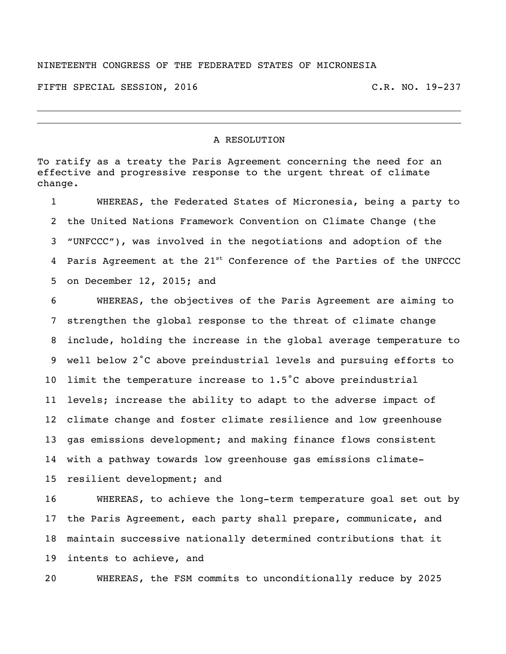## NINETEENTH CONGRESS OF THE FEDERATED STATES OF MICRONESIA

FIFTH SPECIAL SESSION, 2016 C.R. NO. 19-237

## A RESOLUTION

To ratify as a treaty the Paris Agreement concerning the need for an effective and progressive response to the urgent threat of climate change.

 WHEREAS, the Federated States of Micronesia, being a party to the United Nations Framework Convention on Climate Change (the "UNFCCC"), was involved in the negotiations and adoption of the 4 Paris Agreement at the 21<sup>st</sup> Conference of the Parties of the UNFCCC on December 12, 2015; and

 WHEREAS, the objectives of the Paris Agreement are aiming to strengthen the global response to the threat of climate change include, holding the increase in the global average temperature to well below 2˚C above preindustrial levels and pursuing efforts to limit the temperature increase to 1.5˚C above preindustrial levels; increase the ability to adapt to the adverse impact of climate change and foster climate resilience and low greenhouse gas emissions development; and making finance flows consistent with a pathway towards low greenhouse gas emissions climate-resilient development; and

 WHEREAS, to achieve the long-term temperature goal set out by the Paris Agreement, each party shall prepare, communicate, and maintain successive nationally determined contributions that it intents to achieve, and

WHEREAS, the FSM commits to unconditionally reduce by 2025